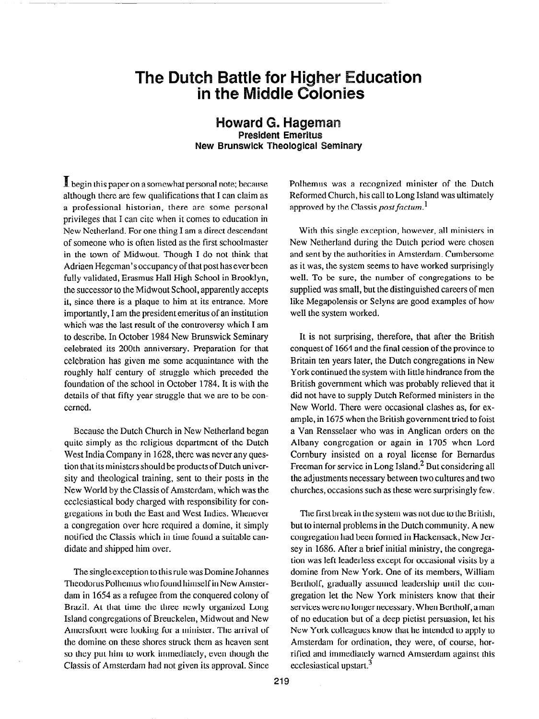## The Dutch Battle for Higher Education in the Middle Colonies

Howard G. Hageman President Emeritus New Brunswick Theological Seminary

 $\mathbf I$  begin this paper on a somewhat personal note; because although there are few qualifications that I can claim as a professional historian, there are some personal privileges that I can cite when it comes to education in New Netherland. For one thing I am a direct descendant of someone who is often listed as the first schoolmaster in the town of Midwout. Though I do not think that Adriaen Hegcman's occupancy of that post has ever been fully validated, Erasmus Hall High School in Brooklyn, the successor to the Midwout School, apparently accepts it, since there is a plaque to him at its entrance. More importantly, I am the president emeritus of an institution which was the last result of the controversy which I am to describe. In October 1984 New Brunswick Seminary celebrated its 200th anniversary. Preparation for that celebration has given me some acquaintance with the roughly half century of struggle which preceded the foundation of the school in October 1784. It is with the details of that fifty year struggle that we are to be concerned.

Because the Dutch Church in New Netherland began quite simply as the religious department of the Dutch West India Company in 1628, there was never any question that its ministers should be products of Dutch university and theological training, sent to their posts in the New World by the Classis of Amsterdam, which was the ccclcsiastical body charged with responsibility for congregations in both the East and West Indies. Whenever a congregation over here required a domine, it simply notified the Classis which in time found a suitable candidate and shipped him over.

The single exception to this rule was Domine Johannes Theodorus Polhemus who found himself in New Amsterdam in 1654 as a refugee from the conquered colony of Brazil. At that time the three newly organized Long Island congregations of Breuckelen, Midwout and New Amcrsfoort were looking for a minister. The arrival of the domine on these shores struck them as heaven sent so they put him to work immediately, even though the Classis of Amsterdam had not given its approval. Since Polhemus was a recognized minister of the Dutch Reformed Church, his call to Long Island was ultimately approved by the Classis *post factum*.<sup>1</sup>

With this single exception, however, all ministers in New Netherland during the Dutch period were chosen and sent by the authorities in Amsterdam. Cumbersome as it was, the system seems to have worked surprisingly well. To be sure, the number of congregations to be supplied was small, but the distinguished careers of men like Megapolensis or Selyns are good examples of how well the system worked.

It is not surprising, therefore, that after the British conquest of 1664 and the final cession of the province to Britain ten years later, the Dutch congregations in New York continued the system with little hindrance from the British government which was probably relieved that it did not have to supply Dutch Reformed ministers in the New World. There were occasional clashes as, for example, in 1675 when the British government tried to foist a Van Rensselaer who was in Anglican orders on the Albany congregation or again in 1705 when Lord Cornbury insisted on a royal license for Bernardus Freeman for service in Long Island.<sup>2</sup> But considering all the adjustments necessary between two cultures and two churches, occasions such as these were surprisingly few.

The first break in the system was not due to the British, but to internal problems in the Dutch community. A new congregation had been formed in Hackensack, New Jersey in 1686. After a brief initial ministry, the congregation was left leaderless except for occasional visits by a domine from New York. One of its members, William Bertholf, gradually assumed leadership until the congregation let the New York ministers know that their services were no longer necessary. When Bcrtholf, a man of no education but of a deep pietist persuasion, let his New York colleagues know that he intended to apply to Amsterdam for ordination, they were, of course, horrified and immediately warned Amsterdam against this ecclesiastical upstart.<sup>3</sup>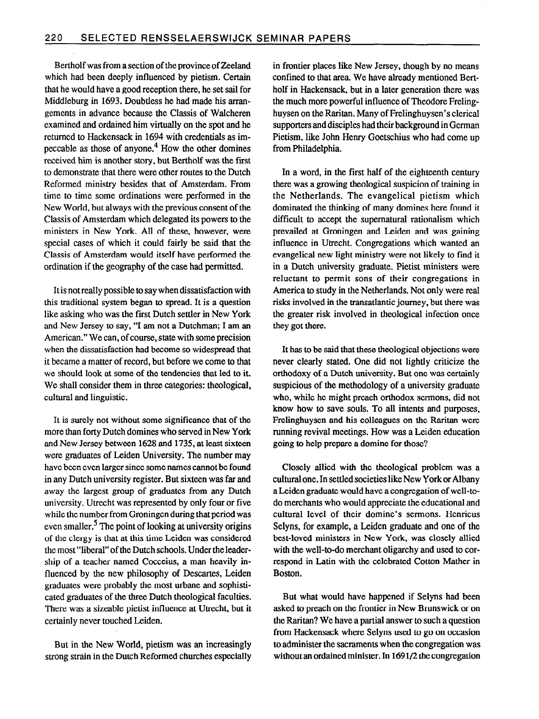Bertholf was from a section of the province of Zeeland which had been deeply influenced by pietism. Certain that he would have a good reception there, he set sail for Middleburg in 1693. Doubtless he had made his arrangements in advance because the Classis of Walcheren examined and ordained him virtually on the spot and he returned to Hackensack in 1694 with credentials as impeccable as those of anyone.4 How the other domines received him is another story, but Bertholf was the first to demonstrate that there were other routes to the Dutch Reformed ministry besides that of Amsterdam. From time to time some ordinations were performed in the New World, but always with the previous consent of the Classis of Amsterdam which delegated its powers to the ministers in New York. All of these, however, were special cases of which it could fairly be said that the Classis of Amsterdam would itself have performed the ordination if the geography of the case had permitted.

It is not really possible to say when dissatisfaction with this traditional system began to spread. It is a question like asking who was the first Dutch settler in New York and New Jersey to say, "I am not a Dutchman; I am an American." We can, of course, state with some precision when the dissatisfaction had become so widespread that it became a matter of record, but before we come to that we should look at some of the tendencies that led to it. We shall consider them in three categories: theological, cultural and linguistic.

It is surely not without some significance that of the more than forty Dutch domines who served in New York and New Jersey between 1628 and 1735, at least sixteen were graduates of Leiden University. The number may have been even larger since some names cannot be found in any Dutch university register. But sixteen was far and away the largest group of graduates from any Dutch university. Utrecht was represented by only four or five while the number from Groningen during that period was even smaller.<sup>5</sup> The point of looking at university origins of the clergy is that at this time Leiden was considered the most "liberal" of the Dutch schools. Under the leadership of a teacher named Cocceius, a man heavily influenced by the new philosophy of Descartes, Leiden graduates were probably the most urbane and sophisticated graduates of the three Dutch theological faculties. There was a sizeable pietist influence at Utrecht, but it certainly never touched Leiden.

But in the New World, pietism was an increasingly strong strain in the Dutch Reformed churches especially in frontier places like New Jersey, though by no means confined to that area. We have already mentioned Bertholf in Hackensack, but in a later generation there was the much more powerful influence of Theodore Frelinghuysen on the Raritan. Many of Frelinghuysen's clerical supporters and disciples had their background in German Pietism, like John Henry Goetschius who had come up from Philadelphia.

In a word, in the first half of the eighteenth century there was a growing theological suspicion of training in the Netherlands. The evangelical pietism which dominated the thinking of many domines here found it difficult to accept the supernatural rationalism which prevailed at Groningen and Leiden and was gaining influence in Utrecht. Congregations which wanted an evangelical new light ministry were not likely to find it in a Dutch university graduate. Pietist ministers were reluctant to permit sons of their congregations in America to study in the Netherlands. Not only were real risks involved in the transatlantic journey, but there was the greater risk involved in theological infection once they got there.

It has to be said that these theological objections were never clearly stated. One did not lightly criticize the orthodoxy of a Dutch university. But one was certainly suspicious of the methodology of a university graduate who, while he might preach orthodox sermons, did not know how to save souls. To all intents and purposes, Frelinghuysen and his colleagues on the Raritan were running revival meetings. How was a Leiden education going to help prepare a domine for those?

Closely allied with the theological problem was a cultural one. In settled societies like New York or Albany a Leiden graduate would have a congregation of well-todo merchants who would appreciate the educational and cultural level of their domine's sermons. Henricus Selyns, for example, a Leiden graduate and one of the best-loved ministers in New York, was closely allied with the well-to-do merchant oligarchy and used to correspond in Latin with the celebrated Cotton Mather in Boston.

But what would have happened if Selyns had been asked to preach on the frontier in New Brunswick or on the Raritan? We have a partial answer to such a question from Hackensack where Selyns used to go on occasion to administer the sacraments when the congregation was without an ordained minister. In 1691/2 the congregation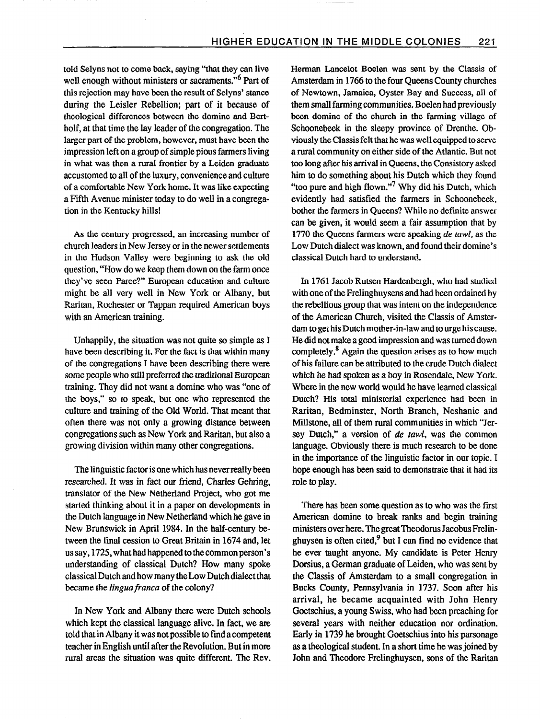told Selyns not to come back, saying "that they can live well enough without ministers or sacraments."<sup>6</sup> Part of this rejection may have been the result of Selyns' stance during the Leisler Rebellion; part of it because of theological differences between the domine and Bertholf, at that time the lay leader of the congregation. The larger part of the problem, however, must have been the impression left on a group of simple pious farmers living in what was then a rural frontier by a Leiden graduate accustomed to all of the luxury, convenience and culture of a comfortable New York home. It was like expecting a Fifth Avenue minister today to do well in a congregation in the Kentucky hills!

As the century progressed, an increasing number of church leaders in New Jersey or in the newer settlements in the Hudson Valley were beginning to ask the old question, "How do we keep them down on the farm once they've seen Paree?" European education and culture might be all very well in New York or Albany, but Raritan, Rochester or Tappan required American boys with an American training.

Unhappily, the situation was not quite so simple as I have been describing it. For the fact is that within many of the congregations I have been describing there were some people who still preferred the traditional European training. They did not want a domine who was "one of the boys," so to speak, but one who represented the culture and training of the Old World. That meant that often there was not only a growing distance between congregations such as New York and Raritan, but also a growing division within many other congregations.

The linguistic factor is one which has never really been researched. It was in fact our friend, Charles Gehring, translator of the New Netherland Project, who got me started thinking about it in a paper on developments in the Dutch language in New Netherland which he gave in New Brunswick in April 1984. In the half-century between the final cession to Great Britain in 1674 and, let us say, 1725, what had happened to the common person's understanding of classical Dutch? How many spoke classical Dutch and how many the Low Dutch dialect that became the lingua franca of the colony?

In New York and Albany there were Dutch schools which kept the classical language alive. In fact, we are told that in Albany it was not possible to find a competent teacher in English until after the Revolution. But in more rural areas the situation was quite different. The Rev. Herman Lancelot Boelen was sent by the Classis of Amsterdam in 1766 to the four Queens County churches of Newtown, Jamaica, Oyster Bay and Success, all of them small farming communities. Boelen had previously been domine of the church in the farming village of Schoonebeek in the sleepy province of Drenthe. Obviously the Classis felt that he was well equipped to serve a rural community on either side of the Atlantic. But not too long after his arrival in Queens, the Consistory asked him to do something about his Dutch which they found "too pure and high flown."<sup>7</sup> Why did his Dutch, which evidently had satisfied the farmers in Schoonebeek, bother the farmers in Queens? While no definite answer can be given, it would seem a fair assumption that by 1770 the Queens farmers were speaking de tawl, as the Low Dutch dialect was known, and found their domine's classical Dutch hard to understand.

In 1761 Jacob Rutsen Hardenbergh, who had studied with one of the Frelinghuysens and had been ordained by the rebellious group that was intent on the independence of the American Church, visited the Classis of Amsterdam to get his Dutch mother-in-law and to urge his cause. He did not make a good impression and was turned down completely.8 Again the question arises as to how much of his failure can be attributed to the crude Dutch dialect which he had spoken as a boy in Rosendale, New York. Where in the new world would he have learned classical Dutch? His total ministerial experience had been in Raritan, Bedminster, North Branch, Neshanic and Millstone, all of them rural communities in which "Jersey Dutch," a version of de tawl, was the common language. Obviously there is much research to be done in the importance of the linguistic factor in our topic. I hope enough has been said to demonstrate that it had its role to play.

There has been some question as to who was the first American domine to break ranks and begin training ministers over here. Thegreat Theodorus Jacobus Frelinghuysen is often cited, $9$  but I can find no evidence that he ever taught anyone. My candidate is Peter Henry Dorsius, a German graduate of Leiden, who was sent by the Classis of Amsterdam to a small congregation in Bucks County, Pennsylvania in 1737. Soon after his arrival, he became acquainted with John Henry Goetschius, a young Swiss, who had been preaching for several years with neither education nor ordination. Early in 1739 he brought Goetschius into his parsonage as a theological student. In a short time he was joined by John and Theodore Frelinghuysen, sons of the Raritan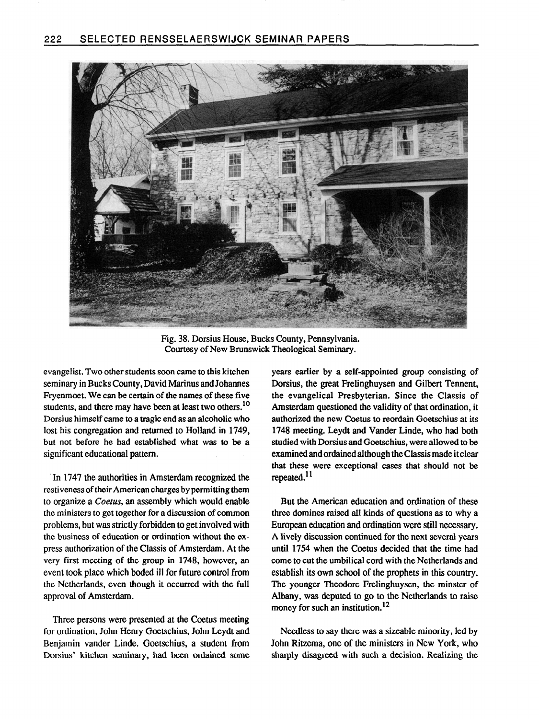

Fig. 38. Dorsius House, Bucks County, Pennsylvania. Courtesy of New Brunswick Theological Seminary.

evangelist. Two other students soon came to this kitchen seminary in Bucks County, David Marinus and Johannes Fryenmoet. We can be certain of the names of these five students, and there may have been at least two others.<sup>10</sup> Dorsius himself came to a tragic end as an alcoholic who lost his congregation and returned to Holland in 1749, but not before he had established what was to be a significant educational pattern.

In 1747 the authorities in Amsterdam recognized the restiveness of their American charges by permitting them to organize a Coetus, an assembly which would enable the ministers to get together for a discussion of common problems, but was strictly forbidden to get involved with the business of education or ordination without the express authorization of the Classis of Amsterdam. At the very first meeting of the group in 1748, however, an event took place which boded ill for future control from the Netherlands, even though it occurred with the full approval of Amsterdam.

Three persons were presented at the Coetus meeting for ordination, John Henry Goetschius, John Leydt and Benjamin vander Linde. Goetschius, a student from Dorsius' kitchen seminary, had been ordained some years earlier by a self-appointed group consisting of Dorsius, the great Frelinghuysen and Gilbert Tennent, the evangelical Presbyterian. Since the Classis of Amsterdam questioned the validity of that ordination, it authorized the new Coetus to reordain Goetschius at its 1748 meeting. Leydt and Vander Linde, who had both studied with Dorsius and Goetschius, were allowed to be examined and ordained although the Classis made it clear that these were exceptional cases that should not be repeated.<sup>11</sup>

But the American education and ordination of these three domines raised all kinds of questions as to why a European education and ordination were still necessary. A lively discussion continued for the next several years until 1754 when the Coetus decided that the time had come to cut the umbilical cord with the Netherlands and establish its own school of the prophets in this country. The younger Theodore Frelinghuysen, the minster of Albany, was deputed to go to the Netherlands to raise money for such an institution.<sup>12</sup>

Needless to say there was a sizeable minority, led by John Ritzema, one of the ministers in New York, who sharply disagreed with such a decision. Realizing the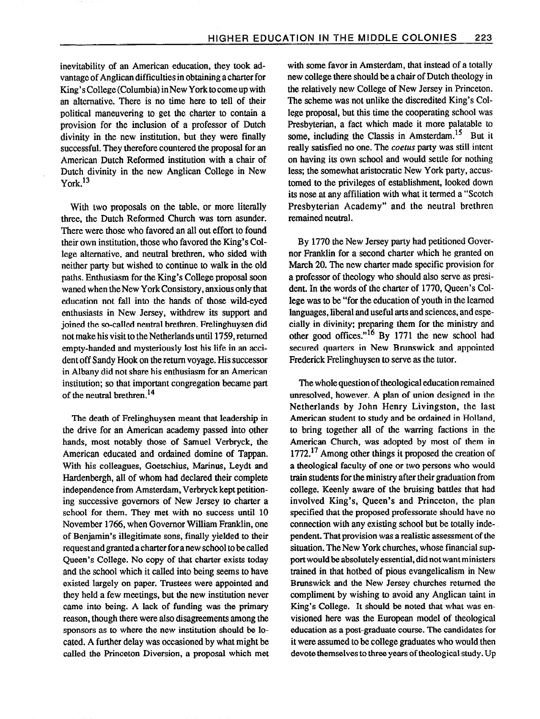inevitability of an American education, they took advantage of Anglican difficulties in obtaining a charter for King's College (Columbia) in New York to come up with an alternative. There is no time here to tell of their political maneuvering to get the charter to contain a provision for the inclusion of a professor of Dutch divinity in the new institution, but they were finally successful. They therefore countered the proposal for an American Dutch Reformed institution with a chair of Dutch divinity in the new Anglican College in New York.<sup>13</sup>

With two proposals on the table, or more literally three, the Dutch Reformed Church was tom asunder. There were those who favored an all out effort to found their own institution, those who favored the King's College alternative, and neutral brethren, who sided with neither party but wished to continue to walk in the old paths. Enthusiasm for the King's College proposal soon waned when the New York Consistory, anxious only that education not fall into the hands of those wild-eyed enthusiasts in New Jersey, withdrew its support and joined the so-called neutral brethren. Frelinghuysen did not make his visit to the Netherlands until 1759, returned empty-handed and mysteriously lost his life in an accident off Sandy Hook on the return voyage. His successor in Albany did not share his enthusiasm for an American institution; so that important congregation became part of the neutral brethren.<sup>14</sup>

The death of Frelinghuysen meant that leadership in the drive for an American academy passed into other hands, most notably those of Samuel Verbryck, the American educated and ordained domine of Tappan. With his colleagues, Goetschius, Marinus, Leydt and Hardenbergh, all of whom had declared their complete independence from Amsterdam, Verbryck kept petitioning successive governors of New Jersey to charter a school for them. They met with no success until 10 November 1766, when Governor William Franklin, one of Benjamin's illegitimate sons, finally yielded to their request and granted a charter for a new school to be called Queen's College. No copy of that charter exists today and the school which it called into being seems to have existed largely on paper. Trustees were appointed and they held a few meetings, but the new institution never came into being. A lack of funding was the primary reason, though there were also disagreements among the sponsors as to where the new institution should be located. A further delay was occasioned by what might be called the Princeton Diversion, a proposal which met with some favor in Amsterdam, that instead of a totally new college there should be a chair of Dutch theology in the relatively new College of New Jersey in Princeton. The scheme was not unlike the discredited King's College proposal, but this time the cooperating school was Presbyterian, a fact which made it more palatable to some, including the Classis in Amsterdam.<sup>15</sup> But it really satisfied no one. The *coetus* party was still intent on having its own school and would settle for nothing less; the somewhat aristocratic New York party, accustomed to the privileges of establishment, looked down its nose at any affiliation with what it termed a "Scotch Presbyterian Academy" and the neutral brethren remained neutral.

By 1770 the New Jersey party had petitioned Governor Franklin for a second charter which he granted on March 20. The new charter made specific provision for a professor of theology who should also serve as president. In the words of the charter of 1770, Queen's College was to be "for the education of youth in the learned languages, liberal and useful arts and sciences, and especially in divinity; preparing them for the ministry and other good offices."<sup>16</sup> By 1771 the new school had secured quarters in New Brunswick and appointed Frederick Frelinghuysen to serve as the tutor.

The whole question of theological education remained unresolved, however. A plan of union designed in the Netherlands by John Henry Livingston, the last American student to study and be ordained in Holland, to bring together all of the warring factions in the American Church, was adopted by most of them in  $1772<sup>17</sup>$  Among other things it proposed the creation of a theological faculty of one or two persons who would train students for the ministry after their graduation from college. Keenly aware of the bruising battles that had involved King's, Queen's and Princeton, the plan specified that the proposed professorate should have no connection with any existing school but be totally independent. That provision was a realistic assessment of the situation. The New York churches, whose financial support would be absolutely essential, did not want ministers trained in that hotbed of pious evangelicalism in New Brunswick and the New Jersey churches returned the compliment by wishing to avoid any Anglican taint in King's College. It should be noted that what was envisioned here was the European model of theological education as a post-graduate course. The candidates for it were assumed to be college graduates who would then devote themselves to three years of theological study. Up